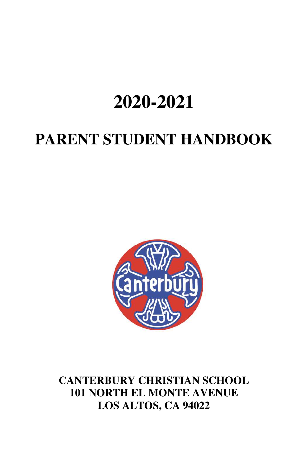# **2020-2021**

# **PARENT STUDENT HANDBOOK**



**CANTERBURY CHRISTIAN SCHOOL 101 NORTH EL MONTE AVENUE LOS ALTOS, CA 94022**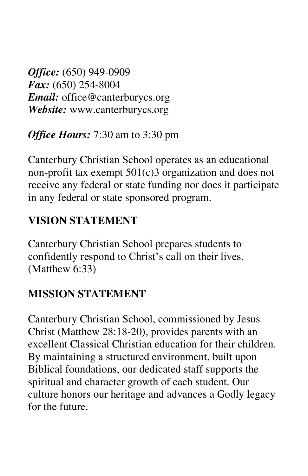*Office:* (650) 949-0909 *Fax:* (650) 254-8004 *Email:* office@canterburycs.org *Website:* www.canterburycs.org

*Office Hours:* 7:30 am to 3:30 pm

Canterbury Christian School operates as an educational non-profit tax exempt 501(c)3 organization and does not receive any federal or state funding nor does it participate in any federal or state sponsored program.

### **VISION STATEMENT**

Canterbury Christian School prepares students to confidently respond to Christ's call on their lives. (Matthew 6:33)

### **MISSION STATEMENT**

Canterbury Christian School, commissioned by Jesus Christ (Matthew 28:18-20), provides parents with an excellent Classical Christian education for their children. By maintaining a structured environment, built upon Biblical foundations, our dedicated staff supports the spiritual and character growth of each student. Our culture honors our heritage and advances a Godly legacy for the future.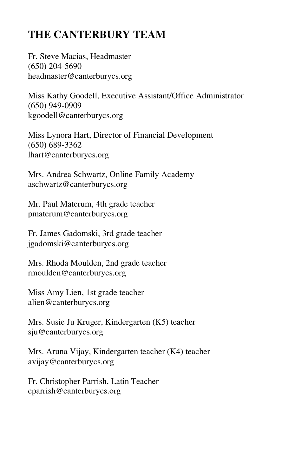## **THE CANTERBURY TEAM**

Fr. Steve Macias, Headmaster (650) 204-5690 headmaster@canterburycs.org

Miss Kathy Goodell, Executive Assistant/Office Administrator (650) 949-0909 kgoodell@canterburycs.org

Miss Lynora Hart, Director of Financial Development (650) 689-3362 lhart@canterburycs.org

Mrs. Andrea Schwartz, Online Family Academy aschwartz@canterburycs.org

Mr. Paul Materum, 4th grade teacher pmaterum@canterburycs.org

Fr. James Gadomski, 3rd grade teacher jgadomski@canterburycs.org

Mrs. Rhoda Moulden, 2nd grade teacher rmoulden@canterburycs.org

Miss Amy Lien, 1st grade teacher alien@canterburycs.org

Mrs. Susie Ju Kruger, Kindergarten (K5) teacher sju@canterburycs.org

Mrs. Aruna Vijay, Kindergarten teacher (K4) teacher avijay@canterburycs.org

Fr. Christopher Parrish, Latin Teacher cparrish@canterburycs.org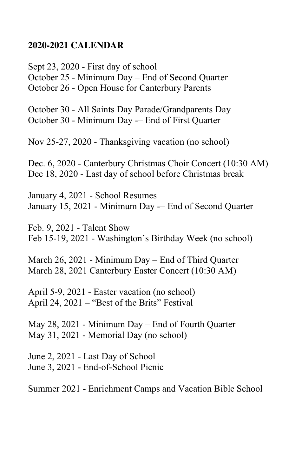#### **2020-2021 CALENDAR**

Sept 23, 2020 - First day of school October 25 - Minimum Day – End of Second Quarter October 26 - Open House for Canterbury Parents

October 30 - All Saints Day Parade/Grandparents Day October 30 - Minimum Day -– End of First Quarter

Nov 25-27, 2020 - Thanksgiving vacation (no school)

Dec. 6, 2020 - Canterbury Christmas Choir Concert (10:30 AM) Dec 18, 2020 - Last day of school before Christmas break

January 4, 2021 - School Resumes January 15, 2021 - Minimum Day -– End of Second Quarter

Feb. 9, 2021 - Talent Show Feb 15-19, 2021 - Washington's Birthday Week (no school)

March 26, 2021 - Minimum Day – End of Third Quarter March 28, 2021 Canterbury Easter Concert (10:30 AM)

April 5-9, 2021 - Easter vacation (no school) April 24, 2021 – "Best of the Brits" Festival

May 28, 2021 - Minimum Day – End of Fourth Quarter May 31, 2021 - Memorial Day (no school)

June 2, 2021 - Last Day of School June 3, 2021 - End-of-School Picnic

Summer 2021 - Enrichment Camps and Vacation Bible School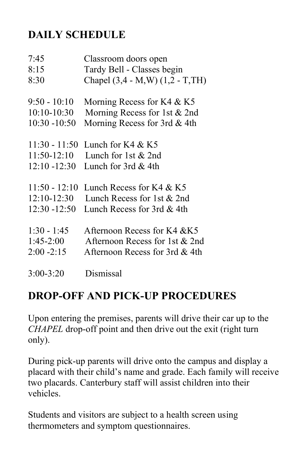## **DAILY SCHEDULE**

| 7:45            | Classroom doors open              |
|-----------------|-----------------------------------|
| 8:15            | Tardy Bell - Classes begin        |
| 8:30            | Chapel (3,4 - M, W) (1,2 - T, TH) |
| $9:50 - 10:10$  | Morning Recess for K4 $&$ K5      |
| $10:10-10:30$   | Morning Recess for 1st & 2nd      |
| $10:30 - 10:50$ | Morning Recess for 3rd & 4th      |
| $11:30 - 11:50$ | Lunch for $K4 & K5$               |
| $11:50-12:10$   | Lunch for 1st $& 2nd$             |
| $12:10 - 12:30$ | Lunch for $3rd \& 4th$            |
| $11:50 - 12:10$ | Lunch Recess for $K4 & K5$        |
| $12:10-12:30$   | Lunch Recess for 1st & 2nd        |
| $12:30 - 12:50$ | Lunch Recess for 3rd & 4th        |
| $1:30 - 1:45$   | Afternoon Recess for K4 & K5      |
| $1:45-2:00$     | Afternoon Recess for 1st & 2nd    |
| $2:00 - 2:15$   | Afternoon Recess for 3rd & 4th    |
| $3:00 - 3:20$   | Dismissal                         |

### **DROP-OFF AND PICK-UP PROCEDURES**

Upon entering the premises, parents will drive their car up to the *CHAPEL* drop-off point and then drive out the exit (right turn only).

During pick-up parents will drive onto the campus and display a placard with their child's name and grade. Each family will receive two placards. Canterbury staff will assist children into their vehicles.

Students and visitors are subject to a health screen using thermometers and symptom questionnaires.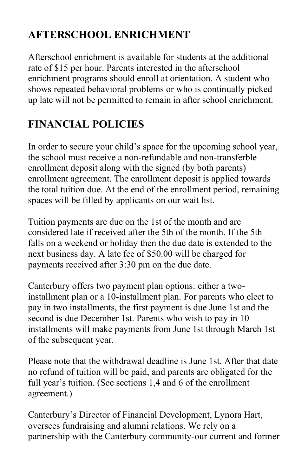# **AFTERSCHOOL ENRICHMENT**

Afterschool enrichment is available for students at the additional rate of \$15 per hour. Parents interested in the afterschool enrichment programs should enroll at orientation. A student who shows repeated behavioral problems or who is continually picked up late will not be permitted to remain in after school enrichment.

# **FINANCIAL POLICIES**

In order to secure your child's space for the upcoming school year, the school must receive a non-refundable and non-transferble enrollment deposit along with the signed (by both parents) enrollment agreement. The enrollment deposit is applied towards the total tuition due. At the end of the enrollment period, remaining spaces will be filled by applicants on our wait list.

Tuition payments are due on the 1st of the month and are considered late if received after the 5th of the month. If the 5th falls on a weekend or holiday then the due date is extended to the next business day. A late fee of \$50.00 will be charged for payments received after 3:30 pm on the due date.

Canterbury offers two payment plan options: either a twoinstallment plan or a 10-installment plan. For parents who elect to pay in two installments, the first payment is due June 1st and the second is due December 1st. Parents who wish to pay in 10 installments will make payments from June 1st through March 1st of the subsequent year.

Please note that the withdrawal deadline is June 1st. After that date no refund of tuition will be paid, and parents are obligated for the full year's tuition. (See sections 1,4 and 6 of the enrollment agreement.)

Canterbury's Director of Financial Development, Lynora Hart, oversees fundraising and alumni relations. We rely on a partnership with the Canterbury community-our current and former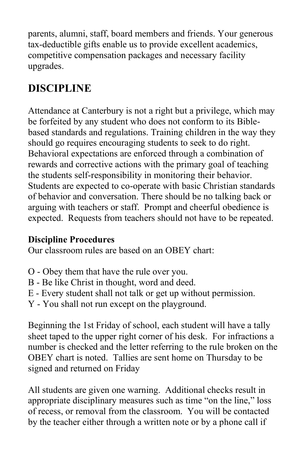parents, alumni, staff, board members and friends. Your generous tax-deductible gifts enable us to provide excellent academics, competitive compensation packages and necessary facility upgrades.

# **DISCIPLINE**

Attendance at Canterbury is not a right but a privilege, which may be forfeited by any student who does not conform to its Biblebased standards and regulations. Training children in the way they should go requires encouraging students to seek to do right. Behavioral expectations are enforced through a combination of rewards and corrective actions with the primary goal of teaching the students self-responsibility in monitoring their behavior. Students are expected to co-operate with basic Christian standards of behavior and conversation. There should be no talking back or arguing with teachers or staff. Prompt and cheerful obedience is expected. Requests from teachers should not have to be repeated.

### **Discipline Procedures**

Our classroom rules are based on an OBEY chart:

- O Obey them that have the rule over you.
- B Be like Christ in thought, word and deed.
- E Every student shall not talk or get up without permission.
- Y You shall not run except on the playground.

Beginning the 1st Friday of school, each student will have a tally sheet taped to the upper right corner of his desk. For infractions a number is checked and the letter referring to the rule broken on the OBEY chart is noted. Tallies are sent home on Thursday to be signed and returned on Friday

All students are given one warning. Additional checks result in appropriate disciplinary measures such as time "on the line," loss of recess, or removal from the classroom. You will be contacted by the teacher either through a written note or by a phone call if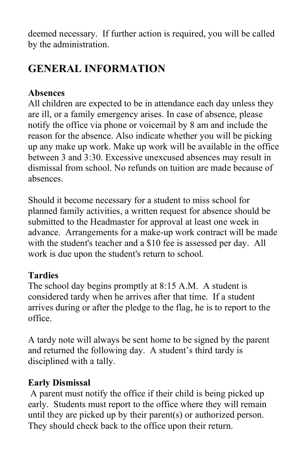deemed necessary. If further action is required, you will be called by the administration.

# **GENERAL INFORMATION**

#### **Absences**

All children are expected to be in attendance each day unless they are ill, or a family emergency arises. In case of absence, please notify the office via phone or voicemail by 8 am and include the reason for the absence. Also indicate whether you will be picking up any make up work. Make up work will be available in the office between 3 and 3:30. Excessive unexcused absences may result in dismissal from school. No refunds on tuition are made because of absences.

Should it become necessary for a student to miss school for planned family activities, a written request for absence should be submitted to the Headmaster for approval at least one week in advance. Arrangements for a make-up work contract will be made with the student's teacher and a \$10 fee is assessed per day. All work is due upon the student's return to school.

### **Tardies**

The school day begins promptly at 8:15 A.M. A student is considered tardy when he arrives after that time. If a student arrives during or after the pledge to the flag, he is to report to the office.

A tardy note will always be sent home to be signed by the parent and returned the following day. A student's third tardy is disciplined with a tally.

### **Early Dismissal**

A parent must notify the office if their child is being picked up early. Students must report to the office where they will remain until they are picked up by their parent(s) or authorized person. They should check back to the office upon their return.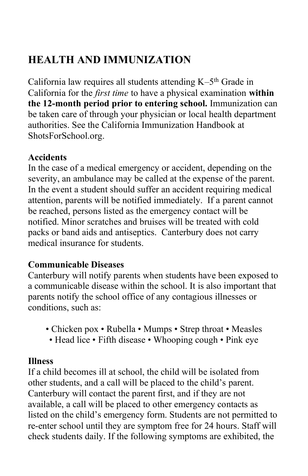# **HEALTH AND IMMUNIZATION**

California law requires all students attending K-5<sup>th</sup> Grade in California for the *first time* to have a physical examination **within the 12-month period prior to entering school.** Immunization can be taken care of through your physician or local health department authorities. See the California Immunization Handbook at ShotsForSchool.org.

#### **Accidents**

In the case of a medical emergency or accident, depending on the severity, an ambulance may be called at the expense of the parent. In the event a student should suffer an accident requiring medical attention, parents will be notified immediately. If a parent cannot be reached, persons listed as the emergency contact will be notified. Minor scratches and bruises will be treated with cold packs or band aids and antiseptics. Canterbury does not carry medical insurance for students.

#### **Communicable Diseases**

Canterbury will notify parents when students have been exposed to a communicable disease within the school. It is also important that parents notify the school office of any contagious illnesses or conditions, such as:

- Chicken pox Rubella Mumps Strep throat Measles
	- Head lice Fifth disease Whooping cough Pink eye

#### **Illness**

If a child becomes ill at school, the child will be isolated from other students, and a call will be placed to the child's parent. Canterbury will contact the parent first, and if they are not available, a call will be placed to other emergency contacts as listed on the child's emergency form. Students are not permitted to re-enter school until they are symptom free for 24 hours. Staff will check students daily. If the following symptoms are exhibited, the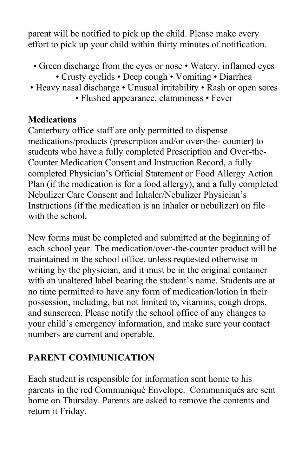parent will be notified to pick up the child. Please make every effort to pick up your child within thirty minutes of notification.

- Green discharge from the eyes or nose Watery, inflamed eyes
	- Crusty eyelids Deep cough Vomiting Diarrhea
- Heavy nasal discharge Unusual irritability Rash or open sores • Flushed appearance, clamminess • Fever

### **Medications**

Canterbury office staff are only permitted to dispense medications/products (prescription and/or over-the- counter) to students who have a fully completed Prescription and Over-the-Counter Medication Consent and Instruction Record, a fully completed Physician's Official Statement or Food Allergy Action Plan (if the medication is for a food allergy), and a fully completed Nebulizer Care Consent and Inhaler/Nebulizer Physician's Instructions (if the medication is an inhaler or nebulizer) on file with the school.

New forms must be completed and submitted at the beginning of each school year. The medication/over-the-counter product will be maintained in the school office, unless requested otherwise in writing by the physician, and it must be in the original container with an unaltered label bearing the student's name. Students are at no time permitted to have any form of medication/lotion in their possession, including, but not limited to, vitamins, cough drops, and sunscreen. Please notify the school office of any changes to your child's emergency information, and make sure your contact numbers are current and operable.

### **PARENT COMMUNICATION**

Each student is responsible for information sent home to his parents in the red Communiqué Envelope. Communiqués are sent home on Thursday. Parents are asked to remove the contents and return it Friday.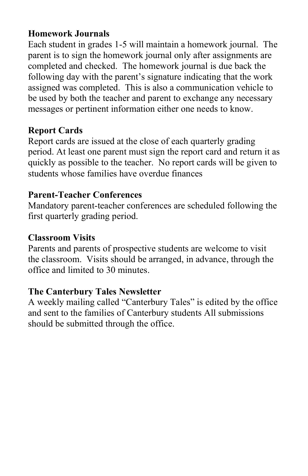#### **Homework Journals**

Each student in grades 1-5 will maintain a homework journal. The parent is to sign the homework journal only after assignments are completed and checked. The homework journal is due back the following day with the parent's signature indicating that the work assigned was completed. This is also a communication vehicle to be used by both the teacher and parent to exchange any necessary messages or pertinent information either one needs to know.

#### **Report Cards**

Report cards are issued at the close of each quarterly grading period. At least one parent must sign the report card and return it as quickly as possible to the teacher. No report cards will be given to students whose families have overdue finances

#### **Parent-Teacher Conferences**

Mandatory parent-teacher conferences are scheduled following the first quarterly grading period.

#### **Classroom Visits**

Parents and parents of prospective students are welcome to visit the classroom. Visits should be arranged, in advance, through the office and limited to 30 minutes.

#### **The Canterbury Tales Newsletter**

A weekly mailing called "Canterbury Tales" is edited by the office and sent to the families of Canterbury students All submissions should be submitted through the office.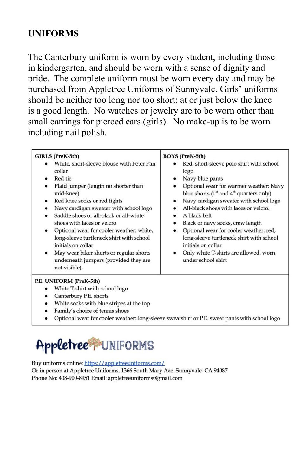#### **UNIFORMS**

The Canterbury uniform is worn by every student, including those in kindergarten, and should be worn with a sense of dignity and pride. The complete uniform must be worn every day and may be purchased from Appletree Uniforms of Sunnyvale. Girls' uniforms should be neither too long nor too short; at or just below the knee is a good length. No watches or jewelry are to be worn other than small earrings for pierced ears (girls). No make-up is to be worn including nail polish.

| GIRLS (PreK-5th)                          | <b>BOYS (PreK-5th)</b>                       |
|-------------------------------------------|----------------------------------------------|
| White, short-sleeve blouse with Peter Pan | Red, short-sleeve polo shirt with school     |
| collar                                    | logo                                         |
| Red tie                                   | Navy blue pants                              |
| Plaid jumper (length no shorter than      | $\bullet$                                    |
| $\bullet$                                 | Optional wear for warmer weather: Navy       |
| mid-knee)                                 | $\bullet$                                    |
| Red knee socks or red tights              | blue shorts ( $1st$ and $4th$ quarters only) |
| ٠                                         | Navy cardigan sweater with school logo       |
| Navy cardigan sweater with school logo    | $\bullet$                                    |
| ٠                                         | All-black shoes with laces or velcro.        |
| Saddle shoes or all-black or all-white    | A black belt                                 |
| shoes with laces or velcro                | Black or navy socks, crew length             |
| Optional wear for cooler weather: white,  | $\bullet$                                    |
| ٠                                         | Optional wear for cooler weather: red,       |
| long-sleeve turtleneck shirt with school  | ٠                                            |
| initials on collar                        | long-sleeve turtleneck shirt with school     |
| May wear biker shorts or regular shorts   | initials on collar                           |
| $\bullet$                                 | Only white T-shirts are allowed, worn        |
| underneath jumpers (provided they are     | ٠                                            |
| not visible).                             | under school shirt                           |

- Canterbury P.E. shorts
- White socks with blue stripes at the top
- Family's choice of tennis shoes
- · Optional wear for cooler weather: long-sleeve sweatshirt or P.E. sweat pants with school logo

# Appletree UNIFORMS

Buy uniforms online: https://appletreeuniforms.com/ Or in person at Appletree Uniforms, 1366 South Mary Ave. Sunnyvale, CA 94087 Phone No: 408-900-8951 Email: appletreeuniforms@gmail.com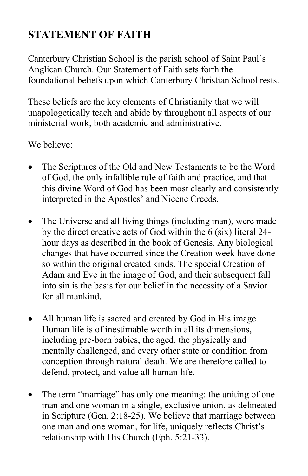## **STATEMENT OF FAITH**

Canterbury Christian School is the parish school of Saint Paul's Anglican Church. Our Statement of Faith sets forth the foundational beliefs upon which Canterbury Christian School rests.

These beliefs are the key elements of Christianity that we will unapologetically teach and abide by throughout all aspects of our ministerial work, both academic and administrative.

We believe:

- The Scriptures of the Old and New Testaments to be the Word of God, the only infallible rule of faith and practice, and that this divine Word of God has been most clearly and consistently interpreted in the Apostles' and Nicene Creeds.
- The Universe and all living things (including man), were made by the direct creative acts of God within the 6 (six) literal 24 hour days as described in the book of Genesis. Any biological changes that have occurred since the Creation week have done so within the original created kinds. The special Creation of Adam and Eve in the image of God, and their subsequent fall into sin is the basis for our belief in the necessity of a Savior for all mankind.
- All human life is sacred and created by God in His image. Human life is of inestimable worth in all its dimensions, including pre-born babies, the aged, the physically and mentally challenged, and every other state or condition from conception through natural death. We are therefore called to defend, protect, and value all human life.
- The term "marriage" has only one meaning: the uniting of one man and one woman in a single, exclusive union, as delineated in Scripture (Gen. 2:18-25). We believe that marriage between one man and one woman, for life, uniquely reflects Christ's relationship with His Church (Eph. 5:21-33).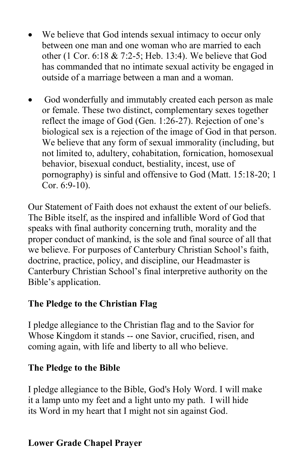- We believe that God intends sexual intimacy to occur only between one man and one woman who are married to each other (1 Cor. 6:18 & 7:2-5; Heb. 13:4). We believe that God has commanded that no intimate sexual activity be engaged in outside of a marriage between a man and a woman.
- God wonderfully and immutably created each person as male or female. These two distinct, complementary sexes together reflect the image of God (Gen. 1:26-27). Rejection of one's biological sex is a rejection of the image of God in that person. We believe that any form of sexual immorality (including, but not limited to, adultery, cohabitation, fornication, homosexual behavior, bisexual conduct, bestiality, incest, use of pornography) is sinful and offensive to God (Matt. 15:18-20; 1 Cor. 6:9-10).

Our Statement of Faith does not exhaust the extent of our beliefs. The Bible itself, as the inspired and infallible Word of God that speaks with final authority concerning truth, morality and the proper conduct of mankind, is the sole and final source of all that we believe. For purposes of Canterbury Christian School's faith, doctrine, practice, policy, and discipline, our Headmaster is Canterbury Christian School's final interpretive authority on the Bible's application.

#### **The Pledge to the Christian Flag**

I pledge allegiance to the Christian flag and to the Savior for Whose Kingdom it stands -- one Savior, crucified, risen, and coming again, with life and liberty to all who believe.

#### **The Pledge to the Bible**

I pledge allegiance to the Bible, God's Holy Word. I will make it a lamp unto my feet and a light unto my path. I will hide its Word in my heart that I might not sin against God.

#### **Lower Grade Chapel Prayer**